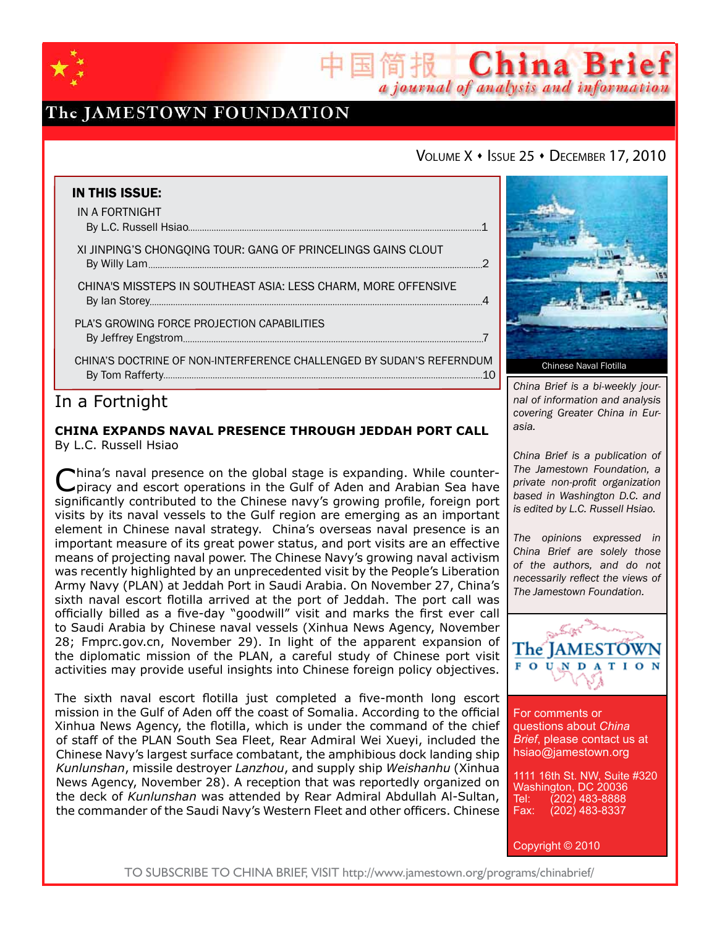

# The JAMESTOWN FOUNDATION

## VOLUME X · ISSUE 25 · DECEMBER 17, 2010

国简报 China Brief

a journal of analysis and information

| <b>IN THIS ISSUE:</b>                                                |  |
|----------------------------------------------------------------------|--|
| IN A FORTNIGHT                                                       |  |
| XI JINPING'S CHONGQING TOUR: GANG OF PRINCELINGS GAINS CLOUT         |  |
| CHINA'S MISSTEPS IN SOUTHEAST ASIA: LESS CHARM, MORE OFFENSIVE       |  |
| PLA'S GROWING FORCE PROJECTION CAPABILITIES                          |  |
| CHINA'S DOCTRINE OF NON-INTERFERENCE CHALLENGED BY SUDAN'S REFERNDUM |  |

# In a Fortnight

### **China Expands Naval Presence through Jeddah Port Call** By L.C. Russell Hsiao

China's naval presence on the global stage is expanding. While counter-piracy and escort operations in the Gulf of Aden and Arabian Sea have significantly contributed to the Chinese navy's growing profile, foreign port visits by its naval vessels to the Gulf region are emerging as an important element in Chinese naval strategy. China's overseas naval presence is an important measure of its great power status, and port visits are an effective means of projecting naval power. The Chinese Navy's growing naval activism was recently highlighted by an unprecedented visit by the People's Liberation Army Navy (PLAN) at Jeddah Port in Saudi Arabia. On November 27, China's sixth naval escort flotilla arrived at the port of Jeddah. The port call was officially billed as a five-day "goodwill" visit and marks the first ever call to Saudi Arabia by Chinese naval vessels (Xinhua News Agency, November 28; Fmprc.gov.cn, November 29). In light of the apparent expansion of the diplomatic mission of the PLAN, a careful study of Chinese port visit activities may provide useful insights into Chinese foreign policy objectives.

The sixth naval escort flotilla just completed a five-month long escort mission in the Gulf of Aden off the coast of Somalia. According to the official Xinhua News Agency, the flotilla, which is under the command of the chief of staff of the PLAN South Sea Fleet, Rear Admiral Wei Xueyi, included the Chinese Navy's largest surface combatant, the amphibious dock landing ship *Kunlunshan*, missile destroyer *Lanzhou*, and supply ship *Weishanhu* (Xinhua News Agency, November 28). A reception that was reportedly organized on the deck of *Kunlunshan* was attended by Rear Admiral Abdullah Al-Sultan, the commander of the Saudi Navy's Western Fleet and other officers. Chinese



*China Brief is a bi-weekly journal of information and analysis covering Greater China in Eurasia.* 

*China Brief is a publication of The Jamestown Foundation, a private non-profit organization based in Washington D.C. and is edited by L.C. Russell Hsiao.*

*The opinions expressed in China Brief are solely those of the authors, and do not necessarily reflect the views of The Jamestown Foundation.*



For comments or questions about *China Brief*, please contact us at hsiao@jamestown.org

1111 16th St. NW, Suite #320 Washington, DC 20036<br>Tel: (202) 483-8888 Tel: (202) 483-8888<br>Fax: (202) 483-8337 Fax: (202) 483-8337

Copyright © 2010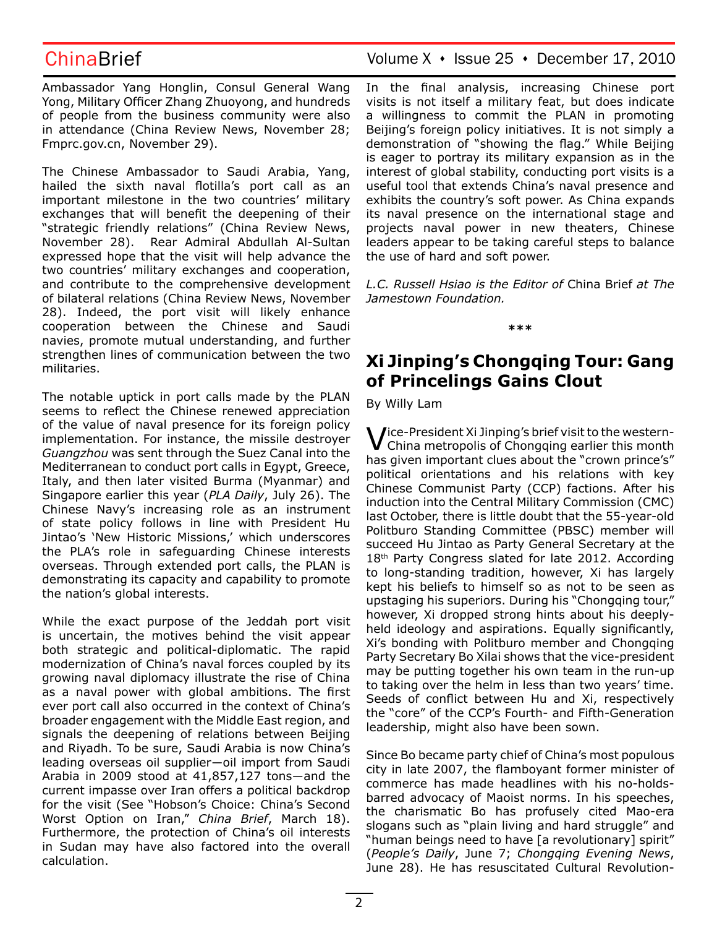Ambassador Yang Honglin, Consul General Wang Yong, Military Officer Zhang Zhuoyong, and hundreds of people from the business community were also in attendance (China Review News, November 28; Fmprc.gov.cn, November 29).

The Chinese Ambassador to Saudi Arabia, Yang, hailed the sixth naval flotilla's port call as an important milestone in the two countries' military exchanges that will benefit the deepening of their "strategic friendly relations" (China Review News, November 28). Rear Admiral Abdullah Al-Sultan expressed hope that the visit will help advance the two countries' military exchanges and cooperation, and contribute to the comprehensive development of bilateral relations (China Review News, November 28). Indeed, the port visit will likely enhance cooperation between the Chinese and Saudi navies, promote mutual understanding, and further strengthen lines of communication between the two militaries.

The notable uptick in port calls made by the PLAN seems to reflect the Chinese renewed appreciation of the value of naval presence for its foreign policy implementation. For instance, the missile destroyer *Guangzhou* was sent through the Suez Canal into the Mediterranean to conduct port calls in Egypt, Greece, Italy, and then later visited Burma (Myanmar) and Singapore earlier this year (*PLA Daily*, July 26). The Chinese Navy's increasing role as an instrument of state policy follows in line with President Hu Jintao's 'New Historic Missions,' which underscores the PLA's role in safeguarding Chinese interests overseas. Through extended port calls, the PLAN is demonstrating its capacity and capability to promote the nation's global interests.

While the exact purpose of the Jeddah port visit is uncertain, the motives behind the visit appear both strategic and political-diplomatic. The rapid modernization of China's naval forces coupled by its growing naval diplomacy illustrate the rise of China as a naval power with global ambitions. The first ever port call also occurred in the context of China's broader engagement with the Middle East region, and signals the deepening of relations between Beijing and Riyadh. To be sure, Saudi Arabia is now China's leading overseas oil supplier―oil import from Saudi Arabia in 2009 stood at 41,857,127 tons―and the current impasse over Iran offers a political backdrop for the visit (See "Hobson's Choice: China's Second Worst Option on Iran," *China Brief*, March 18). Furthermore, the protection of China's oil interests in Sudan may have also factored into the overall calculation.

ChinaBrief Volume X · Issue 25 · December 17, 2010

In the final analysis, increasing Chinese port visits is not itself a military feat, but does indicate a willingness to commit the PLAN in promoting Beijing's foreign policy initiatives. It is not simply a demonstration of "showing the flag." While Beijing is eager to portray its military expansion as in the interest of global stability, conducting port visits is a useful tool that extends China's naval presence and exhibits the country's soft power. As China expands its naval presence on the international stage and projects naval power in new theaters, Chinese leaders appear to be taking careful steps to balance the use of hard and soft power.

*L.C. Russell Hsiao is the Editor of* China Brief *at The Jamestown Foundation.*

**\*\*\***

# **Xi Jinping's Chongqing Tour: Gang of Princelings Gains Clout**

By Willy Lam

 $\bigvee$  /ice-President Xi Jinping's brief visit to the western-China metropolis of Chongqing earlier this month has given important clues about the "crown prince's" political orientations and his relations with key Chinese Communist Party (CCP) factions. After his induction into the Central Military Commission (CMC) last October, there is little doubt that the 55-year-old Politburo Standing Committee (PBSC) member will succeed Hu Jintao as Party General Secretary at the 18<sup>th</sup> Party Congress slated for late 2012. According to long-standing tradition, however, Xi has largely kept his beliefs to himself so as not to be seen as upstaging his superiors. During his "Chongqing tour," however, Xi dropped strong hints about his deeplyheld ideology and aspirations. Equally significantly, Xi's bonding with Politburo member and Chongqing Party Secretary Bo Xilai shows that the vice-president may be putting together his own team in the run-up to taking over the helm in less than two years' time. Seeds of conflict between Hu and Xi, respectively the "core" of the CCP's Fourth- and Fifth-Generation leadership, might also have been sown.

Since Bo became party chief of China's most populous city in late 2007, the flamboyant former minister of commerce has made headlines with his no-holdsbarred advocacy of Maoist norms. In his speeches, the charismatic Bo has profusely cited Mao-era slogans such as "plain living and hard struggle" and "human beings need to have [a revolutionary] spirit" (*People's Daily*, June 7; *Chongqing Evening News*, June 28). He has resuscitated Cultural Revolution-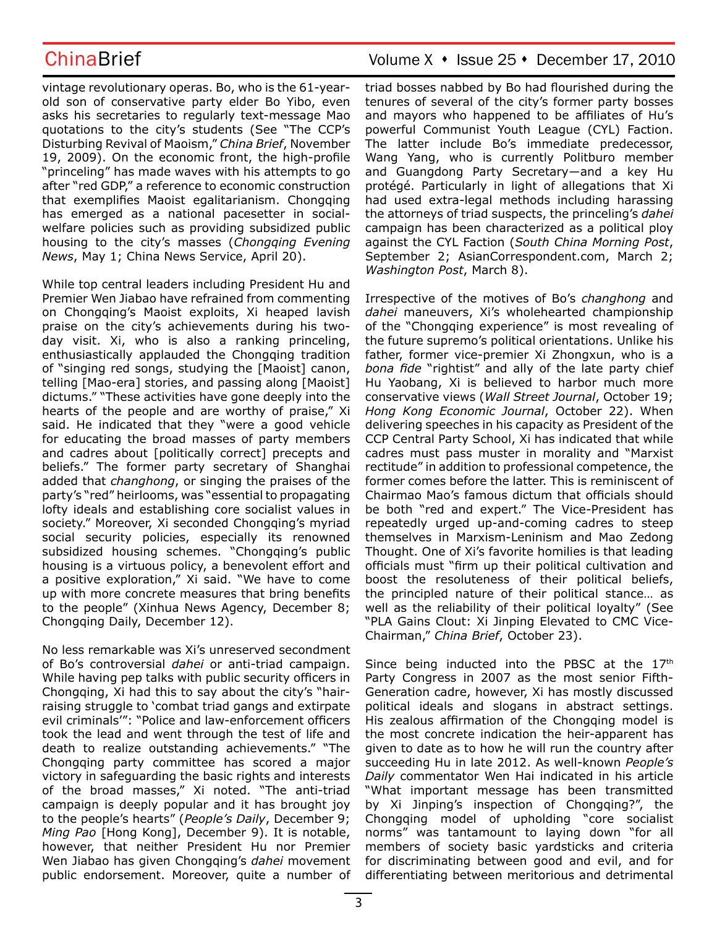vintage revolutionary operas. Bo, who is the 61-yearold son of conservative party elder Bo Yibo, even asks his secretaries to regularly text-message Mao quotations to the city's students (See "The CCP's Disturbing Revival of Maoism," *China Brief*, November 19, 2009). On the economic front, the high-profile "princeling" has made waves with his attempts to go after "red GDP," a reference to economic construction that exemplifies Maoist egalitarianism. Chongqing has emerged as a national pacesetter in socialwelfare policies such as providing subsidized public housing to the city's masses (*Chongqing Evening News*, May 1; China News Service, April 20).

While top central leaders including President Hu and Premier Wen Jiabao have refrained from commenting on Chongqing's Maoist exploits, Xi heaped lavish praise on the city's achievements during his twoday visit. Xi, who is also a ranking princeling, enthusiastically applauded the Chongqing tradition of "singing red songs, studying the [Maoist] canon, telling [Mao-era] stories, and passing along [Maoist] dictums." "These activities have gone deeply into the hearts of the people and are worthy of praise," Xi said. He indicated that they "were a good vehicle for educating the broad masses of party members and cadres about [politically correct] precepts and beliefs." The former party secretary of Shanghai added that *changhong*, or singing the praises of the party's "red" heirlooms, was "essential to propagating lofty ideals and establishing core socialist values in society." Moreover, Xi seconded Chongqing's myriad social security policies, especially its renowned subsidized housing schemes. "Chongqing's public housing is a virtuous policy, a benevolent effort and a positive exploration," Xi said. "We have to come up with more concrete measures that bring benefits to the people" (Xinhua News Agency, December 8; Chongqing Daily, December 12).

No less remarkable was Xi's unreserved secondment of Bo's controversial *dahei* or anti-triad campaign. While having pep talks with public security officers in Chongqing, Xi had this to say about the city's "hairraising struggle to 'combat triad gangs and extirpate evil criminals'": "Police and law-enforcement officers took the lead and went through the test of life and death to realize outstanding achievements." "The Chongqing party committee has scored a major victory in safeguarding the basic rights and interests of the broad masses," Xi noted. "The anti-triad campaign is deeply popular and it has brought joy to the people's hearts" (*People's Daily*, December 9; *Ming Pao* [Hong Kong], December 9). It is notable, however, that neither President Hu nor Premier Wen Jiabao has given Chongqing's *dahei* movement public endorsement. Moreover, quite a number of

## ChinaBrief ChinaBrief Volume X + Issue 25 + December 17, 2010

triad bosses nabbed by Bo had flourished during the tenures of several of the city's former party bosses and mayors who happened to be affiliates of Hu's powerful Communist Youth League (CYL) Faction. The latter include Bo's immediate predecessor, Wang Yang, who is currently Politburo member and Guangdong Party Secretary―and a key Hu protégé. Particularly in light of allegations that Xi had used extra-legal methods including harassing the attorneys of triad suspects, the princeling's *dahei*  campaign has been characterized as a political ploy against the CYL Faction (*South China Morning Post*, September 2; AsianCorrespondent.com, March 2; *Washington Post*, March 8).

Irrespective of the motives of Bo's *changhong* and *dahei* maneuvers, Xi's wholehearted championship of the "Chongqing experience" is most revealing of the future supremo's political orientations. Unlike his father, former vice-premier Xi Zhongxun, who is a *bona fide* "rightist" and ally of the late party chief Hu Yaobang, Xi is believed to harbor much more conservative views (*Wall Street Journal*, October 19; *Hong Kong Economic Journal*, October 22). When delivering speeches in his capacity as President of the CCP Central Party School, Xi has indicated that while cadres must pass muster in morality and "Marxist rectitude" in addition to professional competence, the former comes before the latter. This is reminiscent of Chairmao Mao's famous dictum that officials should be both "red and expert." The Vice-President has repeatedly urged up-and-coming cadres to steep themselves in Marxism-Leninism and Mao Zedong Thought. One of Xi's favorite homilies is that leading officials must "firm up their political cultivation and boost the resoluteness of their political beliefs, the principled nature of their political stance… as well as the reliability of their political loyalty" (See "PLA Gains Clout: Xi Jinping Elevated to CMC Vice-Chairman," *China Brief*, October 23).

Since being inducted into the PBSC at the 17th Party Congress in 2007 as the most senior Fifth-Generation cadre, however, Xi has mostly discussed political ideals and slogans in abstract settings. His zealous affirmation of the Chongqing model is the most concrete indication the heir-apparent has given to date as to how he will run the country after succeeding Hu in late 2012. As well-known *People's Daily* commentator Wen Hai indicated in his article "What important message has been transmitted by Xi Jinping's inspection of Chongqing?", the Chongqing model of upholding "core socialist norms" was tantamount to laying down "for all members of society basic yardsticks and criteria for discriminating between good and evil, and for differentiating between meritorious and detrimental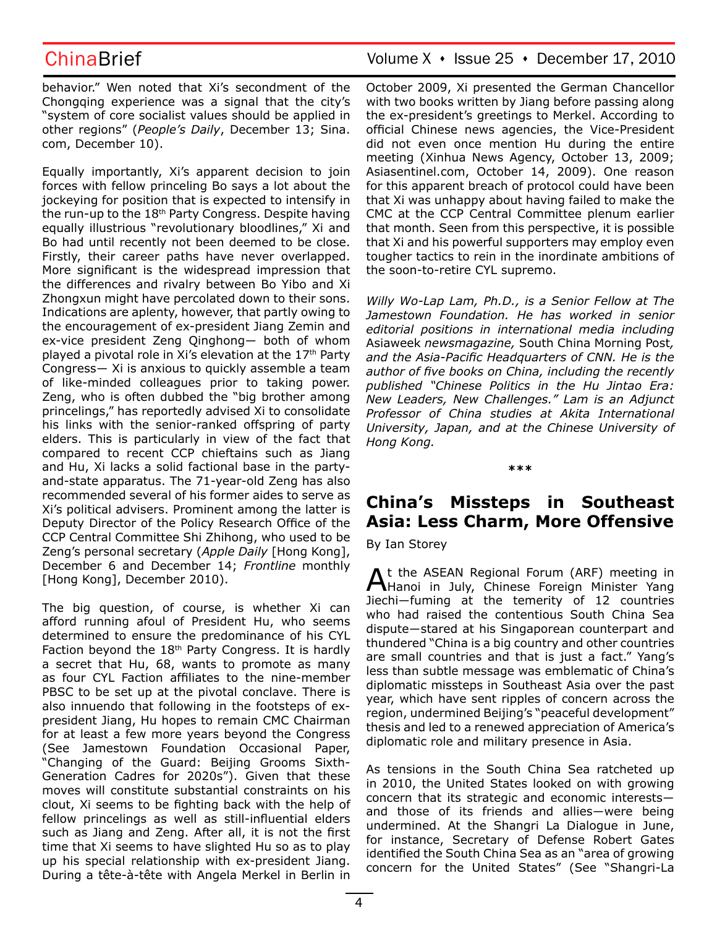behavior." Wen noted that Xi's secondment of the Chongqing experience was a signal that the city's "system of core socialist values should be applied in other regions" (*People's Daily*, December 13; Sina. com, December 10).

Equally importantly, Xi's apparent decision to join forces with fellow princeling Bo says a lot about the jockeying for position that is expected to intensify in the run-up to the 18th Party Congress. Despite having equally illustrious "revolutionary bloodlines," Xi and Bo had until recently not been deemed to be close. Firstly, their career paths have never overlapped. More significant is the widespread impression that the differences and rivalry between Bo Yibo and Xi Zhongxun might have percolated down to their sons. Indications are aplenty, however, that partly owing to the encouragement of ex-president Jiang Zemin and ex-vice president Zeng Qinghong― both of whom played a pivotal role in Xi's elevation at the 17<sup>th</sup> Party Congress― Xi is anxious to quickly assemble a team of like-minded colleagues prior to taking power. Zeng, who is often dubbed the "big brother among princelings," has reportedly advised Xi to consolidate his links with the senior-ranked offspring of party elders. This is particularly in view of the fact that compared to recent CCP chieftains such as Jiang and Hu, Xi lacks a solid factional base in the partyand-state apparatus. The 71-year-old Zeng has also recommended several of his former aides to serve as Xi's political advisers. Prominent among the latter is Deputy Director of the Policy Research Office of the CCP Central Committee Shi Zhihong, who used to be Zeng's personal secretary (*Apple Daily* [Hong Kong], December 6 and December 14; *Frontline* monthly [Hong Kong], December 2010).

The big question, of course, is whether Xi can afford running afoul of President Hu, who seems determined to ensure the predominance of his CYL Faction beyond the  $18<sup>th</sup>$  Party Congress. It is hardly a secret that Hu, 68, wants to promote as many as four CYL Faction affiliates to the nine-member PBSC to be set up at the pivotal conclave. There is also innuendo that following in the footsteps of expresident Jiang, Hu hopes to remain CMC Chairman for at least a few more years beyond the Congress (See Jamestown Foundation Occasional Paper, "Changing of the Guard: Beijing Grooms Sixth-Generation Cadres for 2020s"). Given that these moves will constitute substantial constraints on his clout, Xi seems to be fighting back with the help of fellow princelings as well as still-influential elders such as Jiang and Zeng. After all, it is not the first time that Xi seems to have slighted Hu so as to play up his special relationship with ex-president Jiang. During a tête-à-tête with Angela Merkel in Berlin in

ChinaBrief Volume X · Issue 25 · December 17, 2010

October 2009, Xi presented the German Chancellor with two books written by Jiang before passing along the ex-president's greetings to Merkel. According to official Chinese news agencies, the Vice-President did not even once mention Hu during the entire meeting (Xinhua News Agency, October 13, 2009; Asiasentinel.com, October 14, 2009). One reason for this apparent breach of protocol could have been that Xi was unhappy about having failed to make the CMC at the CCP Central Committee plenum earlier that month. Seen from this perspective, it is possible that Xi and his powerful supporters may employ even tougher tactics to rein in the inordinate ambitions of the soon-to-retire CYL supremo.

*Willy Wo-Lap Lam, Ph.D., is a Senior Fellow at The Jamestown Foundation. He has worked in senior editorial positions in international media including*  Asiaweek *newsmagazine,* South China Morning Post*, and the Asia-Pacific Headquarters of CNN. He is the author of five books on China, including the recently published "Chinese Politics in the Hu Jintao Era: New Leaders, New Challenges." Lam is an Adjunct Professor of China studies at Akita International University, Japan, and at the Chinese University of Hong Kong.*

**\*\*\***

# **China's Missteps in Southeast Asia: Less Charm, More Offensive**

By Ian Storey

At the ASEAN Regional Forum (ARF) meeting in Hanoi in July, Chinese Foreign Minister Yang Jiechi―fuming at the temerity of 12 countries who had raised the contentious South China Sea dispute―stared at his Singaporean counterpart and thundered "China is a big country and other countries are small countries and that is just a fact." Yang's less than subtle message was emblematic of China's diplomatic missteps in Southeast Asia over the past year, which have sent ripples of concern across the region, undermined Beijing's "peaceful development" thesis and led to a renewed appreciation of America's diplomatic role and military presence in Asia.

As tensions in the South China Sea ratcheted up in 2010, the United States looked on with growing concern that its strategic and economic interests― and those of its friends and allies―were being undermined. At the Shangri La Dialogue in June, for instance, Secretary of Defense Robert Gates identified the South China Sea as an "area of growing concern for the United States" (See "Shangri-La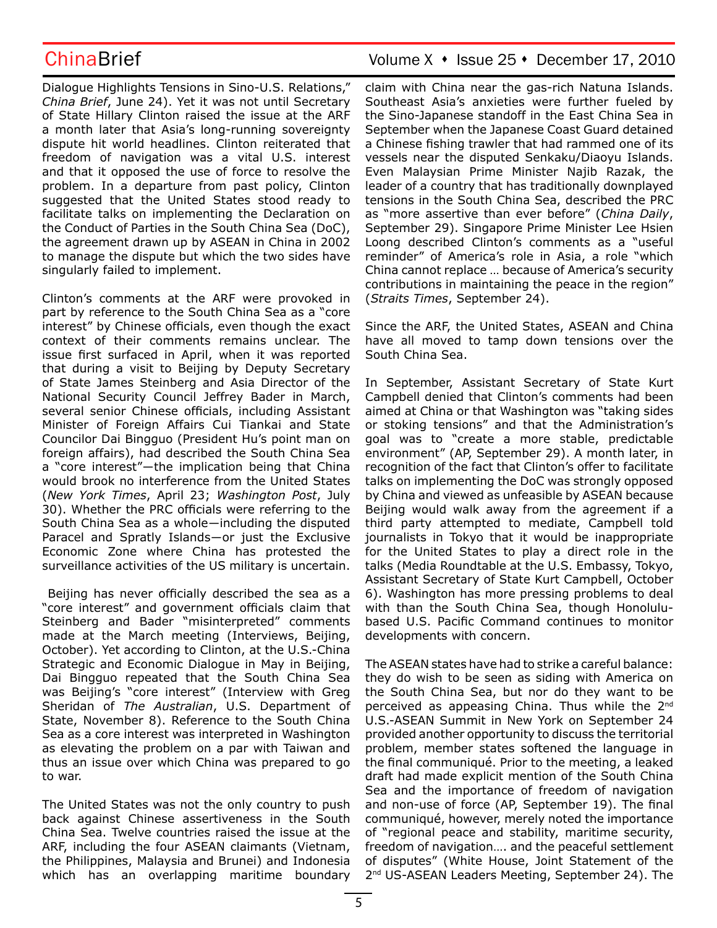Dialogue Highlights Tensions in Sino-U.S. Relations," *China Brief*, June 24). Yet it was not until Secretary of State Hillary Clinton raised the issue at the ARF a month later that Asia's long-running sovereignty dispute hit world headlines. Clinton reiterated that freedom of navigation was a vital U.S. interest and that it opposed the use of force to resolve the problem. In a departure from past policy, Clinton suggested that the United States stood ready to facilitate talks on implementing the Declaration on the Conduct of Parties in the South China Sea (DoC), the agreement drawn up by ASEAN in China in 2002 to manage the dispute but which the two sides have singularly failed to implement.

Clinton's comments at the ARF were provoked in part by reference to the South China Sea as a "core interest" by Chinese officials, even though the exact context of their comments remains unclear. The issue first surfaced in April, when it was reported that during a visit to Beijing by Deputy Secretary of State James Steinberg and Asia Director of the National Security Council Jeffrey Bader in March, several senior Chinese officials, including Assistant Minister of Foreign Affairs Cui Tiankai and State Councilor Dai Bingguo (President Hu's point man on foreign affairs), had described the South China Sea a "core interest"―the implication being that China would brook no interference from the United States (*New York Times*, April 23; *Washington Post*, July 30). Whether the PRC officials were referring to the South China Sea as a whole―including the disputed Paracel and Spratly Islands―or just the Exclusive Economic Zone where China has protested the surveillance activities of the US military is uncertain.

 Beijing has never officially described the sea as a "core interest" and government officials claim that Steinberg and Bader "misinterpreted" comments made at the March meeting (Interviews, Beijing, October). Yet according to Clinton, at the U.S.-China Strategic and Economic Dialogue in May in Beijing, Dai Bingguo repeated that the South China Sea was Beijing's "core interest" (Interview with Greg Sheridan of *The Australian*, U.S. Department of State, November 8). Reference to the South China Sea as a core interest was interpreted in Washington as elevating the problem on a par with Taiwan and thus an issue over which China was prepared to go to war.

The United States was not the only country to push back against Chinese assertiveness in the South China Sea. Twelve countries raised the issue at the ARF, including the four ASEAN claimants (Vietnam, the Philippines, Malaysia and Brunei) and Indonesia which has an overlapping maritime boundary

## ChinaBrief ChinaBrief Volume X + Issue 25 + December 17, 2010

claim with China near the gas-rich Natuna Islands. Southeast Asia's anxieties were further fueled by the Sino-Japanese standoff in the East China Sea in September when the Japanese Coast Guard detained a Chinese fishing trawler that had rammed one of its vessels near the disputed Senkaku/Diaoyu Islands. Even Malaysian Prime Minister Najib Razak, the leader of a country that has traditionally downplayed tensions in the South China Sea, described the PRC as "more assertive than ever before" (*China Daily*, September 29). Singapore Prime Minister Lee Hsien Loong described Clinton's comments as a "useful reminder" of America's role in Asia, a role "which China cannot replace … because of America's security contributions in maintaining the peace in the region" (*Straits Times*, September 24).

Since the ARF, the United States, ASEAN and China have all moved to tamp down tensions over the South China Sea.

In September, Assistant Secretary of State Kurt Campbell denied that Clinton's comments had been aimed at China or that Washington was "taking sides or stoking tensions" and that the Administration's goal was to "create a more stable, predictable environment" (AP, September 29). A month later, in recognition of the fact that Clinton's offer to facilitate talks on implementing the DoC was strongly opposed by China and viewed as unfeasible by ASEAN because Beijing would walk away from the agreement if a third party attempted to mediate, Campbell told journalists in Tokyo that it would be inappropriate for the United States to play a direct role in the talks (Media Roundtable at the U.S. Embassy, Tokyo, Assistant Secretary of State Kurt Campbell, October 6). Washington has more pressing problems to deal with than the South China Sea, though Honolulubased U.S. Pacific Command continues to monitor developments with concern.

The ASEAN states have had to strike a careful balance: they do wish to be seen as siding with America on the South China Sea, but nor do they want to be perceived as appeasing China. Thus while the 2<sup>nd</sup> U.S.-ASEAN Summit in New York on September 24 provided another opportunity to discuss the territorial problem, member states softened the language in the final communiqué. Prior to the meeting, a leaked draft had made explicit mention of the South China Sea and the importance of freedom of navigation and non-use of force (AP, September 19). The final communiqué, however, merely noted the importance of "regional peace and stability, maritime security, freedom of navigation…. and the peaceful settlement of disputes" (White House, Joint Statement of the 2nd US-ASEAN Leaders Meeting, September 24). The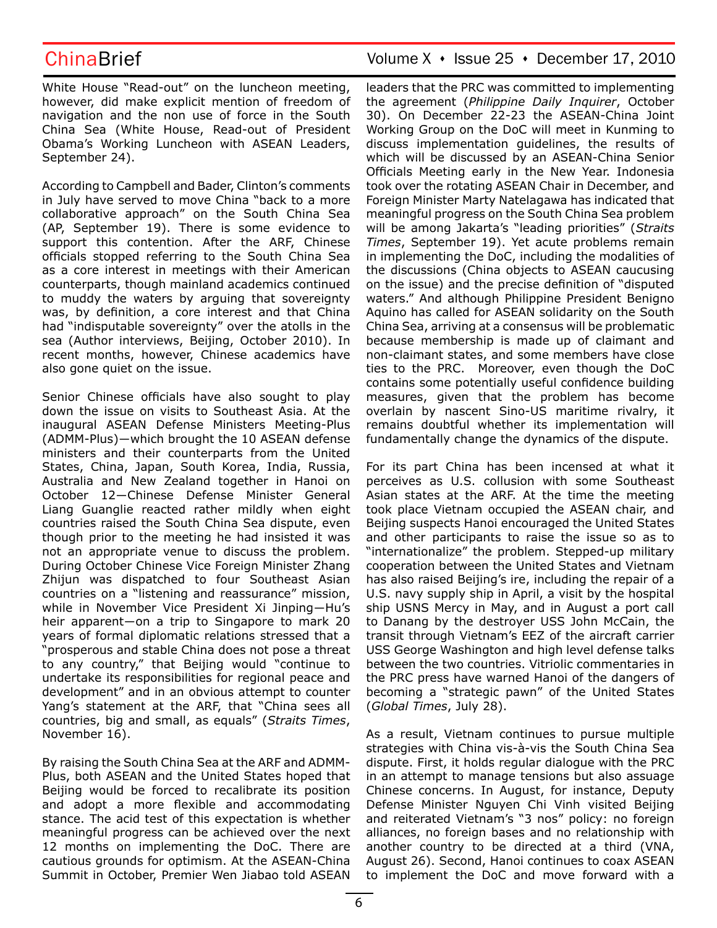White House "Read-out" on the luncheon meeting, however, did make explicit mention of freedom of navigation and the non use of force in the South China Sea (White House, Read-out of President Obama's Working Luncheon with ASEAN Leaders, September 24).

According to Campbell and Bader, Clinton's comments in July have served to move China "back to a more collaborative approach" on the South China Sea (AP, September 19). There is some evidence to support this contention. After the ARF, Chinese officials stopped referring to the South China Sea as a core interest in meetings with their American counterparts, though mainland academics continued to muddy the waters by arguing that sovereignty was, by definition, a core interest and that China had "indisputable sovereignty" over the atolls in the sea (Author interviews, Beijing, October 2010). In recent months, however, Chinese academics have also gone quiet on the issue.

Senior Chinese officials have also sought to play down the issue on visits to Southeast Asia. At the inaugural ASEAN Defense Ministers Meeting-Plus (ADMM-Plus)―which brought the 10 ASEAN defense ministers and their counterparts from the United States, China, Japan, South Korea, India, Russia, Australia and New Zealand together in Hanoi on October 12―Chinese Defense Minister General Liang Guanglie reacted rather mildly when eight countries raised the South China Sea dispute, even though prior to the meeting he had insisted it was not an appropriate venue to discuss the problem. During October Chinese Vice Foreign Minister Zhang Zhijun was dispatched to four Southeast Asian countries on a "listening and reassurance" mission, while in November Vice President Xi Jinping―Hu's heir apparent—on a trip to Singapore to mark 20 years of formal diplomatic relations stressed that a "prosperous and stable China does not pose a threat to any country," that Beijing would "continue to undertake its responsibilities for regional peace and development" and in an obvious attempt to counter Yang's statement at the ARF, that "China sees all countries, big and small, as equals" (*Straits Times*, November 16).

By raising the South China Sea at the ARF and ADMM-Plus, both ASEAN and the United States hoped that Beijing would be forced to recalibrate its position and adopt a more flexible and accommodating stance. The acid test of this expectation is whether meaningful progress can be achieved over the next 12 months on implementing the DoC. There are cautious grounds for optimism. At the ASEAN-China Summit in October, Premier Wen Jiabao told ASEAN

## ChinaBrief Volume X · Issue 25 · December 17, 2010

leaders that the PRC was committed to implementing the agreement (*Philippine Daily Inquirer*, October 30). On December 22-23 the ASEAN-China Joint Working Group on the DoC will meet in Kunming to discuss implementation guidelines, the results of which will be discussed by an ASEAN-China Senior Officials Meeting early in the New Year. Indonesia took over the rotating ASEAN Chair in December, and Foreign Minister Marty Natelagawa has indicated that meaningful progress on the South China Sea problem will be among Jakarta's "leading priorities" (*Straits Times*, September 19). Yet acute problems remain in implementing the DoC, including the modalities of the discussions (China objects to ASEAN caucusing on the issue) and the precise definition of "disputed waters." And although Philippine President Benigno Aquino has called for ASEAN solidarity on the South China Sea, arriving at a consensus will be problematic because membership is made up of claimant and non-claimant states, and some members have close ties to the PRC. Moreover, even though the DoC contains some potentially useful confidence building measures, given that the problem has become overlain by nascent Sino-US maritime rivalry, it remains doubtful whether its implementation will fundamentally change the dynamics of the dispute.

For its part China has been incensed at what it perceives as U.S. collusion with some Southeast Asian states at the ARF. At the time the meeting took place Vietnam occupied the ASEAN chair, and Beijing suspects Hanoi encouraged the United States and other participants to raise the issue so as to "internationalize" the problem. Stepped-up military cooperation between the United States and Vietnam has also raised Beijing's ire, including the repair of a U.S. navy supply ship in April, a visit by the hospital ship USNS Mercy in May, and in August a port call to Danang by the destroyer USS John McCain, the transit through Vietnam's EEZ of the aircraft carrier USS George Washington and high level defense talks between the two countries. Vitriolic commentaries in the PRC press have warned Hanoi of the dangers of becoming a "strategic pawn" of the United States (*Global Times*, July 28).

As a result, Vietnam continues to pursue multiple strategies with China vis-à-vis the South China Sea dispute. First, it holds regular dialogue with the PRC in an attempt to manage tensions but also assuage Chinese concerns. In August, for instance, Deputy Defense Minister Nguyen Chi Vinh visited Beijing and reiterated Vietnam's "3 nos" policy: no foreign alliances, no foreign bases and no relationship with another country to be directed at a third (VNA, August 26). Second, Hanoi continues to coax ASEAN to implement the DoC and move forward with a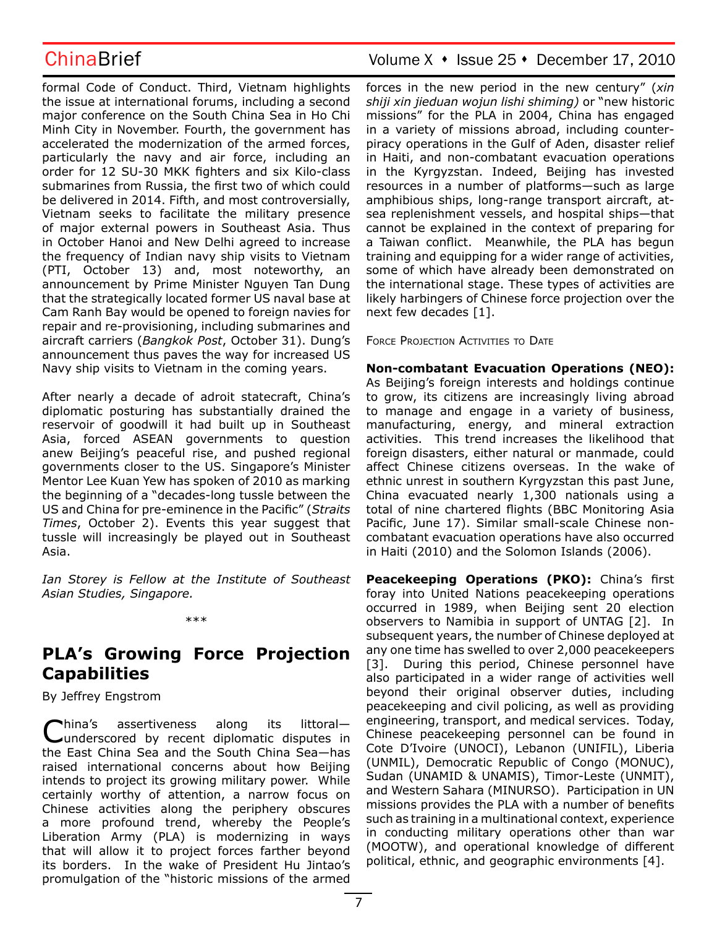formal Code of Conduct. Third, Vietnam highlights the issue at international forums, including a second major conference on the South China Sea in Ho Chi Minh City in November. Fourth, the government has accelerated the modernization of the armed forces, particularly the navy and air force, including an order for 12 SU-30 MKK fighters and six Kilo-class submarines from Russia, the first two of which could be delivered in 2014. Fifth, and most controversially, Vietnam seeks to facilitate the military presence of major external powers in Southeast Asia. Thus in October Hanoi and New Delhi agreed to increase the frequency of Indian navy ship visits to Vietnam (PTI, October 13) and, most noteworthy, an announcement by Prime Minister Nguyen Tan Dung that the strategically located former US naval base at Cam Ranh Bay would be opened to foreign navies for repair and re-provisioning, including submarines and aircraft carriers (*Bangkok Post*, October 31). Dung's announcement thus paves the way for increased US Navy ship visits to Vietnam in the coming years.

After nearly a decade of adroit statecraft, China's diplomatic posturing has substantially drained the reservoir of goodwill it had built up in Southeast Asia, forced ASEAN governments to question anew Beijing's peaceful rise, and pushed regional governments closer to the US. Singapore's Minister Mentor Lee Kuan Yew has spoken of 2010 as marking the beginning of a "decades-long tussle between the US and China for pre-eminence in the Pacific" (*Straits Times*, October 2). Events this year suggest that tussle will increasingly be played out in Southeast Asia.

*Ian Storey is Fellow at the Institute of Southeast Asian Studies, Singapore.*

\*\*\*

# **PLA's Growing Force Projection Capabilities**

## By Jeffrey Engstrom

China's assertiveness along its littoral— underscored by recent diplomatic disputes in the East China Sea and the South China Sea—has raised international concerns about how Beijing intends to project its growing military power. While certainly worthy of attention, a narrow focus on Chinese activities along the periphery obscures a more profound trend, whereby the People's Liberation Army (PLA) is modernizing in ways that will allow it to project forces farther beyond its borders. In the wake of President Hu Jintao's promulgation of the "historic missions of the armed

# ChinaBrief Volume X + Issue 25 + December 17, 2010

forces in the new period in the new century" (*xin shiji xin jieduan wojun lishi shiming)* or "new historic missions" for the PLA in 2004, China has engaged in a variety of missions abroad, including counterpiracy operations in the Gulf of Aden, disaster relief in Haiti, and non-combatant evacuation operations in the Kyrgyzstan. Indeed, Beijing has invested resources in a number of platforms—such as large amphibious ships, long-range transport aircraft, atsea replenishment vessels, and hospital ships—that cannot be explained in the context of preparing for a Taiwan conflict. Meanwhile, the PLA has begun training and equipping for a wider range of activities, some of which have already been demonstrated on the international stage. These types of activities are likely harbingers of Chinese force projection over the next few decades [1].

Force Projection Activities to Date

## **Non-combatant Evacuation Operations (NEO):**

As Beijing's foreign interests and holdings continue to grow, its citizens are increasingly living abroad to manage and engage in a variety of business, manufacturing, energy, and mineral extraction activities. This trend increases the likelihood that foreign disasters, either natural or manmade, could affect Chinese citizens overseas. In the wake of ethnic unrest in southern Kyrgyzstan this past June, China evacuated nearly 1,300 nationals using a total of nine chartered flights (BBC Monitoring Asia Pacific, June 17). Similar small-scale Chinese noncombatant evacuation operations have also occurred in Haiti (2010) and the Solomon Islands (2006).

**Peacekeeping Operations (PKO):** China's first foray into United Nations peacekeeping operations occurred in 1989, when Beijing sent 20 election observers to Namibia in support of UNTAG [2]. In subsequent years, the number of Chinese deployed at any one time has swelled to over 2,000 peacekeepers [3]. During this period, Chinese personnel have also participated in a wider range of activities well beyond their original observer duties, including peacekeeping and civil policing, as well as providing engineering, transport, and medical services. Today, Chinese peacekeeping personnel can be found in Cote D'Ivoire (UNOCI), Lebanon (UNIFIL), Liberia (UNMIL), Democratic Republic of Congo (MONUC), Sudan (UNAMID & UNAMIS), Timor-Leste (UNMIT), and Western Sahara (MINURSO). Participation in UN missions provides the PLA with a number of benefits such as training in a multinational context, experience in conducting military operations other than war (MOOTW), and operational knowledge of different political, ethnic, and geographic environments [4].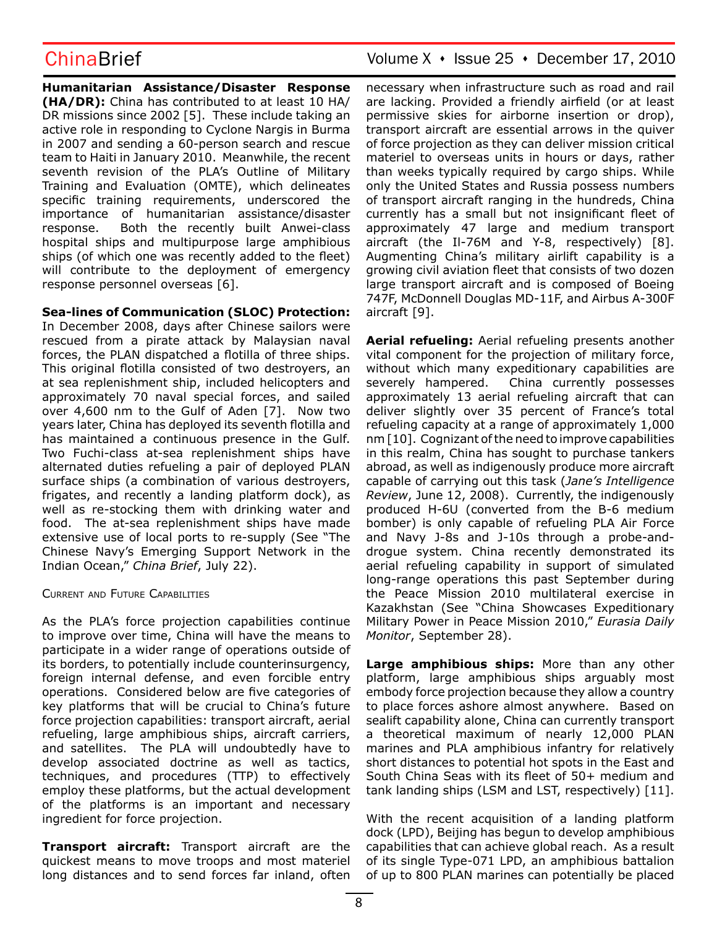**Humanitarian Assistance/Disaster Response (HA/DR):** China has contributed to at least 10 HA/ DR missions since 2002 [5]. These include taking an active role in responding to Cyclone Nargis in Burma in 2007 and sending a 60-person search and rescue team to Haiti in January 2010. Meanwhile, the recent seventh revision of the PLA's Outline of Military Training and Evaluation (OMTE), which delineates specific training requirements, underscored the importance of humanitarian assistance/disaster response. Both the recently built Anwei-class hospital ships and multipurpose large amphibious ships (of which one was recently added to the fleet) will contribute to the deployment of emergency response personnel overseas [6].

**Sea-lines of Communication (SLOC) Protection:**

In December 2008, days after Chinese sailors were rescued from a pirate attack by Malaysian naval forces, the PLAN dispatched a flotilla of three ships. This original flotilla consisted of two destroyers, an at sea replenishment ship, included helicopters and approximately 70 naval special forces, and sailed over 4,600 nm to the Gulf of Aden [7]. Now two years later, China has deployed its seventh flotilla and has maintained a continuous presence in the Gulf. Two Fuchi-class at-sea replenishment ships have alternated duties refueling a pair of deployed PLAN surface ships (a combination of various destroyers, frigates, and recently a landing platform dock), as well as re-stocking them with drinking water and food. The at-sea replenishment ships have made extensive use of local ports to re-supply (See "The Chinese Navy's Emerging Support Network in the Indian Ocean," *China Brief*, July 22).

Current and Future Capabilities

As the PLA's force projection capabilities continue to improve over time, China will have the means to participate in a wider range of operations outside of its borders, to potentially include counterinsurgency, foreign internal defense, and even forcible entry operations. Considered below are five categories of key platforms that will be crucial to China's future force projection capabilities: transport aircraft, aerial refueling, large amphibious ships, aircraft carriers, and satellites. The PLA will undoubtedly have to develop associated doctrine as well as tactics, techniques, and procedures (TTP) to effectively employ these platforms, but the actual development of the platforms is an important and necessary ingredient for force projection.

**Transport aircraft:** Transport aircraft are the quickest means to move troops and most materiel long distances and to send forces far inland, often necessary when infrastructure such as road and rail are lacking. Provided a friendly airfield (or at least permissive skies for airborne insertion or drop), transport aircraft are essential arrows in the quiver of force projection as they can deliver mission critical materiel to overseas units in hours or days, rather than weeks typically required by cargo ships. While only the United States and Russia possess numbers of transport aircraft ranging in the hundreds, China currently has a small but not insignificant fleet of approximately 47 large and medium transport aircraft (the Il-76M and Y-8, respectively) [8]. Augmenting China's military airlift capability is a growing civil aviation fleet that consists of two dozen large transport aircraft and is composed of Boeing 747F, McDonnell Douglas MD-11F, and Airbus A-300F aircraft [9].

**Aerial refueling:** Aerial refueling presents another vital component for the projection of military force, without which many expeditionary capabilities are severely hampered. China currently possesses approximately 13 aerial refueling aircraft that can deliver slightly over 35 percent of France's total refueling capacity at a range of approximately 1,000 nm [10]. Cognizant of the need to improve capabilities in this realm, China has sought to purchase tankers abroad, as well as indigenously produce more aircraft capable of carrying out this task (*Jane's Intelligence Review*, June 12, 2008). Currently, the indigenously produced H-6U (converted from the B-6 medium bomber) is only capable of refueling PLA Air Force and Navy J-8s and J-10s through a probe-anddrogue system. China recently demonstrated its aerial refueling capability in support of simulated long-range operations this past September during the Peace Mission 2010 multilateral exercise in Kazakhstan (See "China Showcases Expeditionary Military Power in Peace Mission 2010," *Eurasia Daily Monitor*, September 28).

**Large amphibious ships:** More than any other platform, large amphibious ships arguably most embody force projection because they allow a country to place forces ashore almost anywhere. Based on sealift capability alone, China can currently transport a theoretical maximum of nearly 12,000 PLAN marines and PLA amphibious infantry for relatively short distances to potential hot spots in the East and South China Seas with its fleet of 50+ medium and tank landing ships (LSM and LST, respectively) [11].

With the recent acquisition of a landing platform dock (LPD), Beijing has begun to develop amphibious capabilities that can achieve global reach. As a result of its single Type-071 LPD, an amphibious battalion of up to 800 PLAN marines can potentially be placed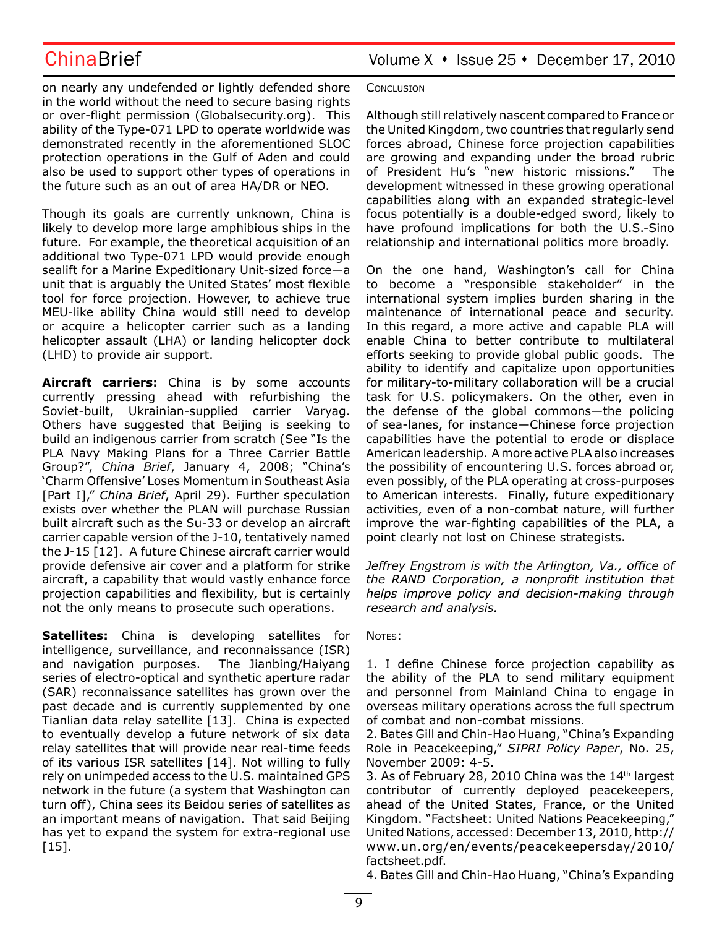on nearly any undefended or lightly defended shore in the world without the need to secure basing rights or over-flight permission (Globalsecurity.org). This ability of the Type-071 LPD to operate worldwide was demonstrated recently in the aforementioned SLOC protection operations in the Gulf of Aden and could also be used to support other types of operations in the future such as an out of area HA/DR or NEO.

Though its goals are currently unknown, China is likely to develop more large amphibious ships in the future. For example, the theoretical acquisition of an additional two Type-071 LPD would provide enough sealift for a Marine Expeditionary Unit-sized force—a unit that is arguably the United States' most flexible tool for force projection. However, to achieve true MEU-like ability China would still need to develop or acquire a helicopter carrier such as a landing helicopter assault (LHA) or landing helicopter dock (LHD) to provide air support.

**Aircraft carriers:** China is by some accounts currently pressing ahead with refurbishing the Soviet-built, Ukrainian-supplied carrier Varyag. Others have suggested that Beijing is seeking to build an indigenous carrier from scratch (See "Is the PLA Navy Making Plans for a Three Carrier Battle Group?", *China Brief*, January 4, 2008; "China's 'Charm Offensive' Loses Momentum in Southeast Asia [Part I]," *China Brief*, April 29). Further speculation exists over whether the PLAN will purchase Russian built aircraft such as the Su-33 or develop an aircraft carrier capable version of the J-10, tentatively named the J-15 [12]. A future Chinese aircraft carrier would provide defensive air cover and a platform for strike aircraft, a capability that would vastly enhance force projection capabilities and flexibility, but is certainly not the only means to prosecute such operations.

**Satellites:** China is developing satellites for intelligence, surveillance, and reconnaissance (ISR) and navigation purposes. The Jianbing/Haiyang series of electro-optical and synthetic aperture radar (SAR) reconnaissance satellites has grown over the past decade and is currently supplemented by one Tianlian data relay satellite [13]. China is expected to eventually develop a future network of six data relay satellites that will provide near real-time feeds of its various ISR satellites [14]. Not willing to fully rely on unimpeded access to the U.S. maintained GPS network in the future (a system that Washington can turn off), China sees its Beidou series of satellites as an important means of navigation. That said Beijing has yet to expand the system for extra-regional use [15].

### **CONCLUSION**

Although still relatively nascent compared to France or the United Kingdom, two countries that regularly send forces abroad, Chinese force projection capabilities are growing and expanding under the broad rubric of President Hu's "new historic missions." The development witnessed in these growing operational capabilities along with an expanded strategic-level focus potentially is a double-edged sword, likely to have profound implications for both the U.S.-Sino relationship and international politics more broadly.

On the one hand, Washington's call for China to become a "responsible stakeholder" in the international system implies burden sharing in the maintenance of international peace and security. In this regard, a more active and capable PLA will enable China to better contribute to multilateral efforts seeking to provide global public goods. The ability to identify and capitalize upon opportunities for military-to-military collaboration will be a crucial task for U.S. policymakers. On the other, even in the defense of the global commons—the policing of sea-lanes, for instance—Chinese force projection capabilities have the potential to erode or displace American leadership. A more active PLA also increases the possibility of encountering U.S. forces abroad or, even possibly, of the PLA operating at cross-purposes to American interests. Finally, future expeditionary activities, even of a non-combat nature, will further improve the war-fighting capabilities of the PLA, a point clearly not lost on Chinese strategists.

*Jeffrey Engstrom is with the Arlington, Va., office of the RAND Corporation, a nonprofit institution that helps improve policy and decision-making through research and analysis.*

### NOTES:

1. I define Chinese force projection capability as the ability of the PLA to send military equipment and personnel from Mainland China to engage in overseas military operations across the full spectrum of combat and non-combat missions.

2. Bates Gill and Chin-Hao Huang, "China's Expanding Role in Peacekeeping," *SIPRI Policy Paper*, No. 25, November 2009: 4-5.

3. As of February 28, 2010 China was the  $14<sup>th</sup>$  largest contributor of currently deployed peacekeepers, ahead of the United States, France, or the United Kingdom. "Factsheet: United Nations Peacekeeping," United Nations, accessed: December 13, 2010, http:// www.un.org/en/events/peacekeepersday/2010/ factsheet.pdf.

4. Bates Gill and Chin-Hao Huang, "China's Expanding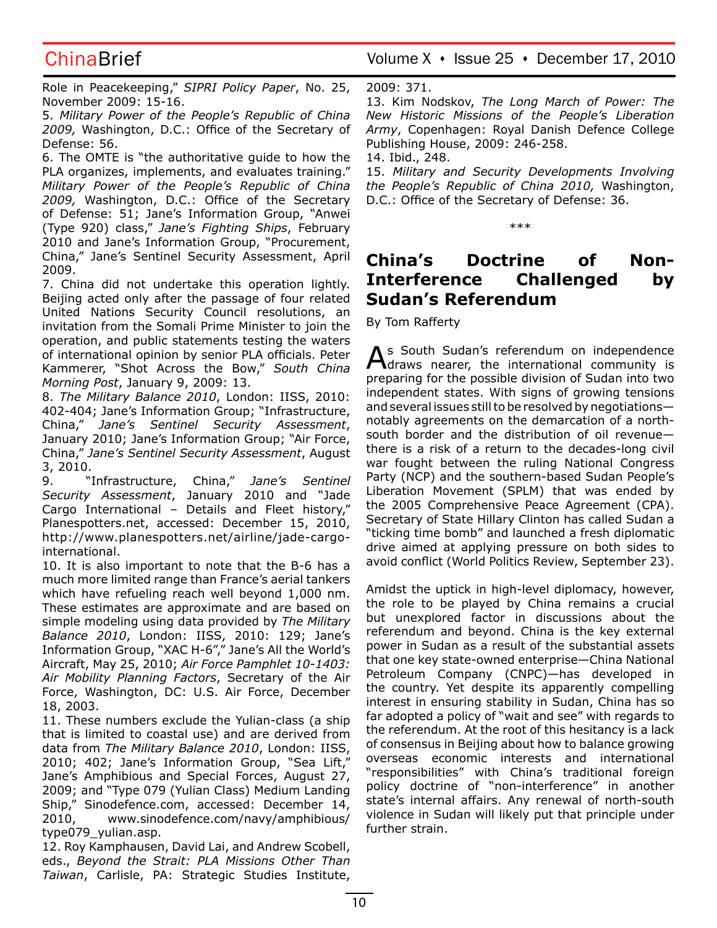Role in Peacekeeping," *SIPRI Policy Paper*, No. 25, November 2009: 15-16.

5. *Military Power of the People's Republic of China 2009,* Washington, D.C.: Office of the Secretary of Defense: 56.

6. The OMTE is "the authoritative guide to how the PLA organizes, implements, and evaluates training." *Military Power of the People's Republic of China 2009,* Washington, D.C.: Office of the Secretary of Defense: 51; Jane's Information Group, "Anwei (Type 920) class," *Jane's Fighting Ships*, February 2010 and Jane's Information Group, "Procurement, China," Jane's Sentinel Security Assessment, April 2009.

7. China did not undertake this operation lightly. Beijing acted only after the passage of four related United Nations Security Council resolutions, an invitation from the Somali Prime Minister to join the operation, and public statements testing the waters of international opinion by senior PLA officials. Peter Kammerer, "Shot Across the Bow," *South China Morning Post*, January 9, 2009: 13.

8. *The Military Balance 2010*, London: IISS, 2010: 402-404; Jane's Information Group; "Infrastructure, China," *Jane's Sentinel Security Assessment*, January 2010; Jane's Information Group; "Air Force, China," *Jane's Sentinel Security Assessment*, August 3, 2010.

9. "Infrastructure, China," *Jane's Sentinel Security Assessment*, January 2010 and "Jade Cargo International – Details and Fleet history," Planespotters.net, accessed: December 15, 2010, http://www.planespotters.net/airline/jade-cargointernational.

10. It is also important to note that the B-6 has a much more limited range than France's aerial tankers which have refueling reach well beyond 1,000 nm. These estimates are approximate and are based on simple modeling using data provided by *The Military Balance 2010*, London: IISS, 2010: 129; Jane's Information Group, "XAC H-6"," Jane's All the World's Aircraft, May 25, 2010; *Air Force Pamphlet 10-1403: Air Mobility Planning Factors*, Secretary of the Air Force, Washington, DC: U.S. Air Force, December 18, 2003.

11. These numbers exclude the Yulian-class (a ship that is limited to coastal use) and are derived from data from *The Military Balance 2010*, London: IISS, 2010; 402; Jane's Information Group, "Sea Lift," Jane's Amphibious and Special Forces, August 27, 2009; and "Type 079 (Yulian Class) Medium Landing Ship," Sinodefence.com, accessed: December 14, 2010, www.sinodefence.com/navy/amphibious/ type079\_yulian.asp.

12. Roy Kamphausen, David Lai, and Andrew Scobell, eds., *Beyond the Strait: PLA Missions Other Than Taiwan*, Carlisle, PA: Strategic Studies Institute,

ChinaBrief Volume X · Issue 25 · December 17, 2010

2009: 371.

13. Kim Nodskov, *The Long March of Power: The New Historic Missions of the People's Liberation Army*, Copenhagen: Royal Danish Defence College Publishing House, 2009: 246-258.

14. Ibid., 248.

15. *Military and Security Developments Involving the People's Republic of China 2010,* Washington, D.C.: Office of the Secretary of Defense: 36.

\*\*\*

# **China's Doctrine of Non-Interference Challenged by Sudan's Referendum**

By Tom Rafferty

As South Sudan's referendum on independence draws nearer, the international community is preparing for the possible division of Sudan into two independent states. With signs of growing tensions and several issues still to be resolved by negotiations notably agreements on the demarcation of a northsouth border and the distribution of oil revenue there is a risk of a return to the decades-long civil war fought between the ruling National Congress Party (NCP) and the southern-based Sudan People's Liberation Movement (SPLM) that was ended by the 2005 Comprehensive Peace Agreement (CPA). Secretary of State Hillary Clinton has called Sudan a "ticking time bomb" and launched a fresh diplomatic drive aimed at applying pressure on both sides to avoid conflict (World Politics Review, September 23).

Amidst the uptick in high-level diplomacy, however, the role to be played by China remains a crucial but unexplored factor in discussions about the referendum and beyond. China is the key external power in Sudan as a result of the substantial assets that one key state-owned enterprise—China National Petroleum Company (CNPC)—has developed in the country. Yet despite its apparently compelling interest in ensuring stability in Sudan, China has so far adopted a policy of "wait and see" with regards to the referendum. At the root of this hesitancy is a lack of consensus in Beijing about how to balance growing overseas economic interests and international "responsibilities" with China's traditional foreign policy doctrine of "non-interference" in another state's internal affairs. Any renewal of north-south violence in Sudan will likely put that principle under further strain.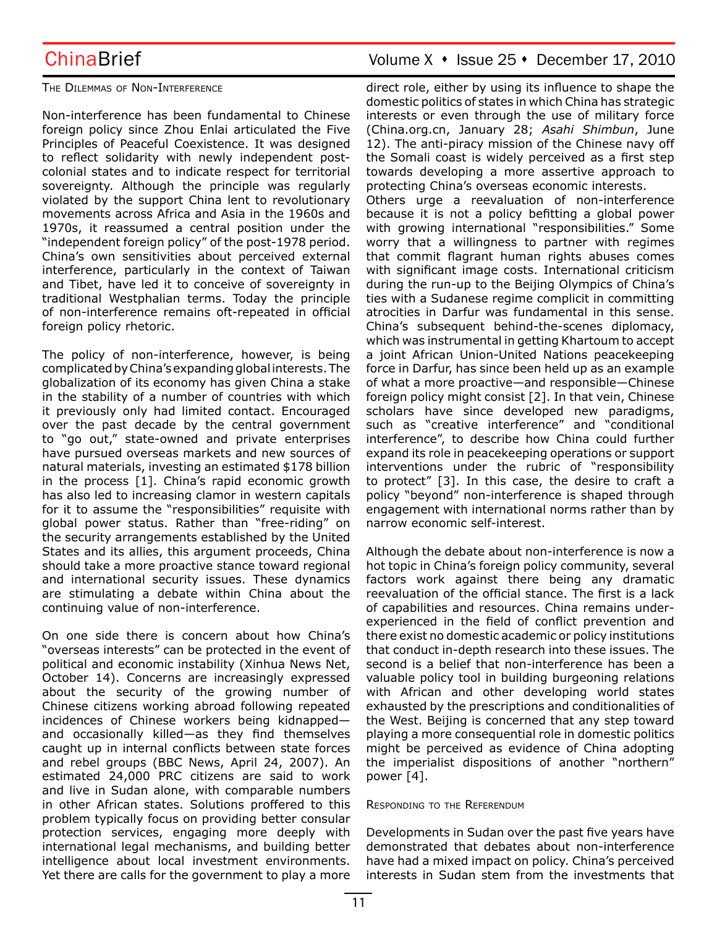### The Dilemmas of Non-Interference

Non-interference has been fundamental to Chinese foreign policy since Zhou Enlai articulated the Five Principles of Peaceful Coexistence. It was designed to reflect solidarity with newly independent postcolonial states and to indicate respect for territorial sovereignty. Although the principle was regularly violated by the support China lent to revolutionary movements across Africa and Asia in the 1960s and 1970s, it reassumed a central position under the "independent foreign policy" of the post-1978 period. China's own sensitivities about perceived external interference, particularly in the context of Taiwan and Tibet, have led it to conceive of sovereignty in traditional Westphalian terms. Today the principle of non-interference remains oft-repeated in official foreign policy rhetoric.

The policy of non-interference, however, is being complicated by China's expanding global interests. The globalization of its economy has given China a stake in the stability of a number of countries with which it previously only had limited contact. Encouraged over the past decade by the central government to "go out," state-owned and private enterprises have pursued overseas markets and new sources of natural materials, investing an estimated \$178 billion in the process [1]. China's rapid economic growth has also led to increasing clamor in western capitals for it to assume the "responsibilities" requisite with global power status. Rather than "free-riding" on the security arrangements established by the United States and its allies, this argument proceeds, China should take a more proactive stance toward regional and international security issues. These dynamics are stimulating a debate within China about the continuing value of non-interference.

On one side there is concern about how China's "overseas interests" can be protected in the event of political and economic instability (Xinhua News Net, October 14). Concerns are increasingly expressed about the security of the growing number of Chinese citizens working abroad following repeated incidences of Chinese workers being kidnapped and occasionally killed—as they find themselves caught up in internal conflicts between state forces and rebel groups (BBC News, April 24, 2007). An estimated 24,000 PRC citizens are said to work and live in Sudan alone, with comparable numbers in other African states. Solutions proffered to this problem typically focus on providing better consular protection services, engaging more deeply with international legal mechanisms, and building better intelligence about local investment environments. Yet there are calls for the government to play a more

direct role, either by using its influence to shape the domestic politics of states in which China has strategic interests or even through the use of military force (China.org.cn, January 28; *Asahi Shimbun*, June 12). The anti-piracy mission of the Chinese navy off the Somali coast is widely perceived as a first step towards developing a more assertive approach to protecting China's overseas economic interests. Others urge a reevaluation of non-interference because it is not a policy befitting a global power with growing international "responsibilities." Some worry that a willingness to partner with regimes that commit flagrant human rights abuses comes with significant image costs. International criticism during the run-up to the Beijing Olympics of China's ties with a Sudanese regime complicit in committing atrocities in Darfur was fundamental in this sense. China's subsequent behind-the-scenes diplomacy, which was instrumental in getting Khartoum to accept a joint African Union-United Nations peacekeeping force in Darfur, has since been held up as an example of what a more proactive—and responsible—Chinese foreign policy might consist [2]. In that vein, Chinese scholars have since developed new paradigms, such as "creative interference" and "conditional interference", to describe how China could further

expand its role in peacekeeping operations or support interventions under the rubric of "responsibility to protect" [3]. In this case, the desire to craft a policy "beyond" non-interference is shaped through engagement with international norms rather than by

Although the debate about non-interference is now a hot topic in China's foreign policy community, several factors work against there being any dramatic reevaluation of the official stance. The first is a lack of capabilities and resources. China remains underexperienced in the field of conflict prevention and there exist no domestic academic or policy institutions that conduct in-depth research into these issues. The second is a belief that non-interference has been a valuable policy tool in building burgeoning relations with African and other developing world states exhausted by the prescriptions and conditionalities of the West. Beijing is concerned that any step toward playing a more consequential role in domestic politics might be perceived as evidence of China adopting the imperialist dispositions of another "northern" power [4].

### Responding to the Referendum

narrow economic self-interest.

Developments in Sudan over the past five years have demonstrated that debates about non-interference have had a mixed impact on policy. China's perceived interests in Sudan stem from the investments that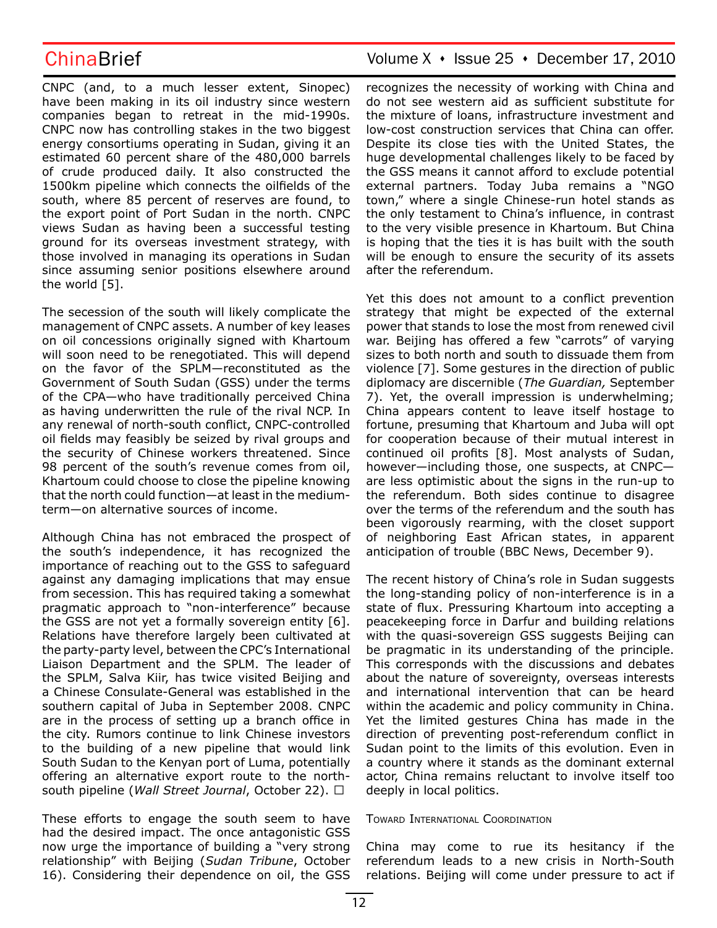CNPC (and, to a much lesser extent, Sinopec) have been making in its oil industry since western companies began to retreat in the mid-1990s. CNPC now has controlling stakes in the two biggest energy consortiums operating in Sudan, giving it an estimated 60 percent share of the 480,000 barrels of crude produced daily. It also constructed the 1500km pipeline which connects the oilfields of the south, where 85 percent of reserves are found, to the export point of Port Sudan in the north. CNPC views Sudan as having been a successful testing ground for its overseas investment strategy, with those involved in managing its operations in Sudan since assuming senior positions elsewhere around the world [5].

The secession of the south will likely complicate the management of CNPC assets. A number of key leases on oil concessions originally signed with Khartoum will soon need to be renegotiated. This will depend on the favor of the SPLM—reconstituted as the Government of South Sudan (GSS) under the terms of the CPA—who have traditionally perceived China as having underwritten the rule of the rival NCP. In any renewal of north-south conflict, CNPC-controlled oil fields may feasibly be seized by rival groups and the security of Chinese workers threatened. Since 98 percent of the south's revenue comes from oil, Khartoum could choose to close the pipeline knowing that the north could function—at least in the mediumterm—on alternative sources of income.

Although China has not embraced the prospect of the south's independence, it has recognized the importance of reaching out to the GSS to safeguard against any damaging implications that may ensue from secession. This has required taking a somewhat pragmatic approach to "non-interference" because the GSS are not yet a formally sovereign entity [6]. Relations have therefore largely been cultivated at the party-party level, between the CPC's International Liaison Department and the SPLM. The leader of the SPLM, Salva Kiir, has twice visited Beijing and a Chinese Consulate-General was established in the southern capital of Juba in September 2008. CNPC are in the process of setting up a branch office in the city. Rumors continue to link Chinese investors to the building of a new pipeline that would link South Sudan to the Kenyan port of Luma, potentially offering an alternative export route to the northsouth pipeline (*Wall Street Journal*, October 22). □

These efforts to engage the south seem to have had the desired impact. The once antagonistic GSS now urge the importance of building a "very strong relationship" with Beijing (*Sudan Tribune*, October 16). Considering their dependence on oil, the GSS

## ChinaBrief Volume X · Issue 25 · December 17, 2010

recognizes the necessity of working with China and do not see western aid as sufficient substitute for the mixture of loans, infrastructure investment and low-cost construction services that China can offer. Despite its close ties with the United States, the huge developmental challenges likely to be faced by the GSS means it cannot afford to exclude potential external partners. Today Juba remains a "NGO town," where a single Chinese-run hotel stands as the only testament to China's influence, in contrast to the very visible presence in Khartoum. But China is hoping that the ties it is has built with the south will be enough to ensure the security of its assets after the referendum.

Yet this does not amount to a conflict prevention strategy that might be expected of the external power that stands to lose the most from renewed civil war. Beijing has offered a few "carrots" of varying sizes to both north and south to dissuade them from violence [7]. Some gestures in the direction of public diplomacy are discernible (*The Guardian,* September 7). Yet, the overall impression is underwhelming; China appears content to leave itself hostage to fortune, presuming that Khartoum and Juba will opt for cooperation because of their mutual interest in continued oil profits [8]. Most analysts of Sudan, however—including those, one suspects, at CNPC are less optimistic about the signs in the run-up to the referendum. Both sides continue to disagree over the terms of the referendum and the south has been vigorously rearming, with the closet support of neighboring East African states, in apparent anticipation of trouble (BBC News, December 9).

The recent history of China's role in Sudan suggests the long-standing policy of non-interference is in a state of flux. Pressuring Khartoum into accepting a peacekeeping force in Darfur and building relations with the quasi-sovereign GSS suggests Beijing can be pragmatic in its understanding of the principle. This corresponds with the discussions and debates about the nature of sovereignty, overseas interests and international intervention that can be heard within the academic and policy community in China. Yet the limited gestures China has made in the direction of preventing post-referendum conflict in Sudan point to the limits of this evolution. Even in a country where it stands as the dominant external actor, China remains reluctant to involve itself too deeply in local politics.

### Toward International Coordination

China may come to rue its hesitancy if the referendum leads to a new crisis in North-South relations. Beijing will come under pressure to act if